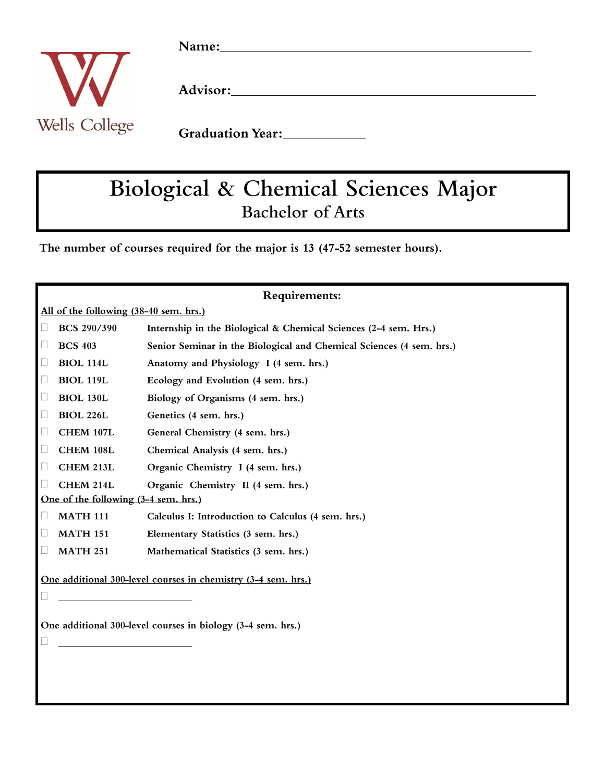

# Biological & Chemical Sciences Major **Bachelor of Arts**

The number of courses required for the major is 13 (47-52 semester hours).

| Requirements:                                                 |                    |                                                                      |
|---------------------------------------------------------------|--------------------|----------------------------------------------------------------------|
| All of the following (38-40 sem. hrs.)                        |                    |                                                                      |
|                                                               | <b>BCS 290/390</b> | Internship in the Biological & Chemical Sciences (2-4 sem. Hrs.)     |
|                                                               | <b>BCS 403</b>     | Senior Seminar in the Biological and Chemical Sciences (4 sem. hrs.) |
| Ш                                                             | <b>BIOL 114L</b>   | Anatomy and Physiology I (4 sem. hrs.)                               |
| □                                                             | <b>BIOL 119L</b>   | Ecology and Evolution (4 sem. hrs.)                                  |
| $\Box$                                                        | <b>BIOL 130L</b>   | Biology of Organisms (4 sem. hrs.)                                   |
| $\Box$                                                        | <b>BIOL 226L</b>   | Genetics (4 sem. hrs.)                                               |
| □                                                             | CHEM 107L          | General Chemistry (4 sem. hrs.)                                      |
| $\Box$                                                        | CHEM 108L          | Chemical Analysis (4 sem. hrs.)                                      |
| $\Box$                                                        | CHEM 213L          | Organic Chemistry I (4 sem. hrs.)                                    |
|                                                               | CHEM 214L          | Organic Chemistry II (4 sem. hrs.)                                   |
| One of the following (3-4 sem. hrs.)                          |                    |                                                                      |
| $\Box$                                                        | <b>MATH 111</b>    | Calculus I: Introduction to Calculus (4 sem. hrs.)                   |
| $\Box$                                                        | <b>MATH 151</b>    | Elementary Statistics (3 sem. hrs.)                                  |
|                                                               | <b>MATH 251</b>    | Mathematical Statistics (3 sem. hrs.)                                |
| One additional 300-level courses in chemistry (3-4 sem. hrs.) |                    |                                                                      |
| One additional 300-level courses in biology (3-4 sem. hrs.)   |                    |                                                                      |
|                                                               |                    |                                                                      |
|                                                               |                    |                                                                      |
|                                                               |                    |                                                                      |
|                                                               |                    |                                                                      |